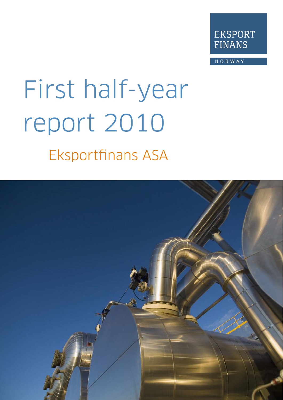

NORWAY

# First half-year report 2010 **Eksportfinans ASA**

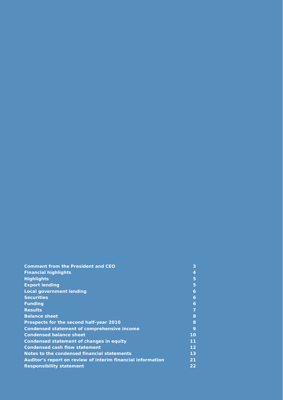| <b>Comment from the President and CEO</b>                   | 3  |
|-------------------------------------------------------------|----|
| <b>Financial highlights</b>                                 | 4  |
| <b>Highlights</b>                                           | 5  |
| <b>Export lending</b>                                       | 5  |
| <b>Local government lending</b>                             | 6  |
| <b>Securities</b>                                           | 6  |
| <b>Funding</b>                                              | 6  |
| <b>Results</b>                                              | 7  |
| <b>Balance sheet</b>                                        | 8  |
| Prospects for the second half-year 2010                     | 8  |
| Condensed statement of comprehensive income                 | 9  |
| <b>Condensed balance sheet</b>                              | 10 |
| Condensed statement of changes in equity                    | 11 |
| <b>Condensed cash flow statement</b>                        | 12 |
| Notes to the condensed financial statements                 | 13 |
| Auditor's report on review of interim financial information | 21 |
| <b>Responsibility statement</b>                             | 22 |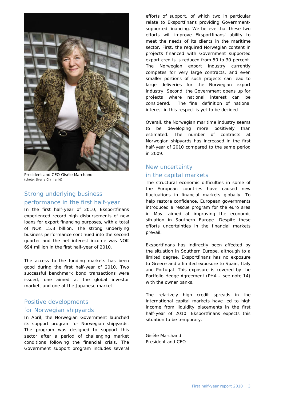

President and CEO Gisèle Marchand (photo: Sverre Chr. Jarlid)

## Strong underlying business

#### performance in the first half-year

In the first half-year of 2010, Eksportfinans experienced record high disbursements of new loans for export financing purposes, with a total of NOK 15.3 billion. The strong underlying business performance continued into the second quarter and the net interest income was NOK 694 million in the first half-year of 2010.

The access to the funding markets has been good during the first half-year of 2010. Two successful benchmark bond transactions were issued, one aimed at the global investor market, and one at the Japanese market.

## Positive developments for Norwegian shipyards

In April, the Norwegian Government launched its support program for Norwegian shipyards. The program was designed to support this sector after a period of challenging market conditions following the financial crisis. The Government support program includes several

efforts of support, of which two in particular relate to Eksportfinans providing Governmentsupported financing. We believe that these two efforts will improve Eksportfinans' ability to meet the needs of its clients in the maritime sector. First, the required Norwegian content in projects financed with Government supported export credits is reduced from 50 to 30 percent. The Norwegian export industry currently competes for very large contracts, and even smaller portions of such projects can lead to large deliveries for the Norwegian export industry. Second, the Government opens up for projects where national interest can be considered. The final definition of national interest in this respect is yet to be decided.

Overall, the Norwegian maritime industry seems to be developing more positively than estimated. The number of contracts at Norwegian shipyards has increased in the first half-year of 2010 compared to the same period in 2009.

## New uncertainty in the capital markets

The structural economic difficulties in some of the European countries have caused new fluctuations in financial markets globally. To help restore confidence, European governments introduced a rescue program for the euro area in May, aimed at improving the economic situation in Southern Europe. Despite these efforts uncertainties in the financial markets prevail.

Eksportfinans has indirectly been affected by the situation in Southern Europe, although to a limited degree. Eksportfinans has no exposure to Greece and a limited exposure to Spain, Italy and Portugal. This exposure is covered by the Portfolio Hedge Agreement (PHA – see note 14) with the owner banks.

The relatively high credit spreads in the international capital markets have led to high income from liquidity placements in the first half-year of 2010. Eksportfinans expects this situation to be temporary.

Gisèle Marchand President and CEO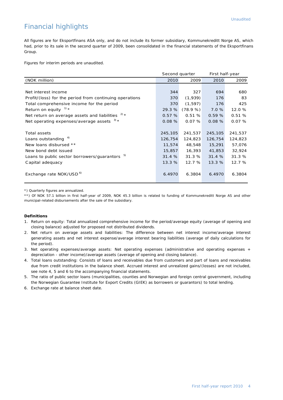# Financial highlights

All figures are for Eksportfinans ASA only, and do not include its former subsidiary, Kommunekreditt Norge AS, which had, prior to its sale in the second quarter of 2009, been consolidated in the financial statements of the Eksportfinans Group.

Figures for interim periods are unaudited.

|                                                             | Second quarter |          | First half-year |         |
|-------------------------------------------------------------|----------------|----------|-----------------|---------|
| (NOK million)                                               | 2010           | 2009     | 2010            | 2009    |
|                                                             |                |          |                 |         |
| Net interest income                                         | 344            | 327      | 694             | 680     |
| Profit/(loss) for the period from continuing operations     | 370            | (1,939)  | 176             | 83      |
| Total comprehensive income for the period                   | 370            | (1, 597) | 176             | 425     |
| Return on equity $1+x$                                      | 29.3 %         | (78.9%   | 7.0%            | 12.0 %  |
| $2) \times$<br>Net return on average assets and liabilities | 0.57%          | 0.51%    | 0.59%           | 0.51%   |
| Net operating expenses/average assets $3 +$                 | 0.08%          | 0.07%    | 0.08%           | 0.07%   |
|                                                             |                |          |                 |         |
| Total assets                                                | 245,105        | 241,537  | 245,105         | 241,537 |
| Loans outstanding $4)$                                      | 126,754        | 124,823  | 126,754         | 124,823 |
| New loans disbursed **                                      | 11,574         | 48,548   | 15,291          | 57,076  |
| New bond debt issued                                        | 15,857         | 16,393   | 41,853          | 32,924  |
| Loans to public sector borrowers/guarantors 5)              | 31.4%          | 31.3%    | 31.4%           | 31.3%   |
| Capital adequacy                                            | 13.3 %         | 12.7%    | 13.3%           | 12.7%   |
|                                                             |                |          |                 |         |
| Exchange rate NOK/USD <sup>6)</sup>                         | 6.4970         | 6.3804   | 6.4970          | 6.3804  |
|                                                             |                |          |                 |         |

\*) Quarterly figures are annualized.

\*\*) Of NOK 57.1 billion in first half-year of 2009, NOK 45.3 billion is related to funding of Kommunekreditt Norge AS and other municipal-related disbursements after the sale of the subsidiary.

#### **Definitions**

- 1. Return on equity: Total annualized comprehensive income for the period/average equity (average of opening and closing balance) adjusted for proposed not distributed dividends.
- 2. Net return on average assets and liabilities: The difference between net interest income/average interest generating assets and net interest expense/average interest bearing liabilities (average of daily calculations for the period).
- 3. Net operating expenses/average assets: Net operating expenses (administrative and operating expenses + depreciation - other income)/average assets (average of opening and closing balance).
- 4. Total loans outstanding: Consists of loans and receivables due from customers and part of loans and receivables due from credit institutions in the balance sheet. Accrued interest and unrealized gains/(losses) are not included, see note 4, 5 and 6 to the accompanying financial statements.
- 5. The ratio of public sector loans (municipalities, counties and Norwegian and foreign central government, including the Norwegian Guarantee Institute for Export Credits (GIEK) as borrowers or guarantors) to total lending.
- 6. Exchange rate at balance sheet date.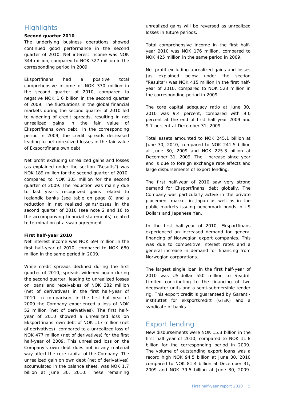## **Highlights**

#### **Second quarter 2010**

The underlying business operations showed continued good performance in the second quarter of 2010. Net interest income was NOK 344 million, compared to NOK 327 million in the corresponding period in 2009.

Eksportfinans had a positive total comprehensive income of NOK 370 million in the second quarter of 2010, compared to negative NOK 1.6 billion in the second quarter of 2009. The fluctuations in the global financial markets during the second quarter of 2010 led to widening of credit spreads, resulting in net unrealized gains in the fair value of Eksportfinans own debt. In the corresponding period in 2009, the credit spreads decreased leading to net unrealized losses in the fair value of Eksportfinans own debt.

Net profit excluding unrealized gains and losses (as explained under the section "Results") was NOK 189 million for the second quarter of 2010, compared to NOK 305 million for the second quarter of 2009. The reduction was mainly due to last year's recognized gains related to Icelandic banks (see table on page 8) and a reduction in net realized gains/losses in the second quarter of 2010 (see note 2 and 16 to the accompanying financial statements) related to termination of a swap agreement.

#### **First half-year 2010**

Net interest income was NOK 694 million in the first half-year of 2010, compared to NOK 680 million in the same period in 2009.

While credit spreads declined during the first quarter of 2010, spreads widened again during the second quarter, leading to unrealized losses on loans and receivables of NOK 282 million (net of derivatives) in the first half-year of 2010. In comparison, in the first half-year of 2009 the Company experienced a loss of NOK 52 million (net of derivatives). The first halfyear of 2010 showed a unrealized loss on Eksportfinans' own debt of NOK 117 million (net of derivatives), compared to a unrealized loss of NOK 477 million (net of derivatives) for the first half-year of 2009. This unrealized loss on the Company's own debt does not in any material way affect the core capital of the Company. The unrealized gain on own debt (net of derivatives) accumulated in the balance sheet, was NOK 1.7 billion at June 30, 2010. These remaining

unrealized gains will be reversed as unrealized losses in future periods.

Total comprehensive income in the first halfyear 2010 was NOK 176 million, compared to NOK 425 million in the same period in 2009.

Net profit excluding unrealized gains and losses (as explained below under the section "Results") was NOK 415 million in the first halfyear of 2010, compared to NOK 523 million in the corresponding period in 2009.

The core capital adequacy ratio at June 30, 2010 was 9.4 percent, compared with 9.0 percent at the end of first half-year 2009 and 9.7 percent at December 31, 2009.

Total assets amounted to NOK 245.1 billion at June 30, 2010, compared to NOK 241.5 billion at June 30, 2009 and NOK 225.3 billion at December 31, 2009. The increase since year end is due to foreign exchange rate effects and large disbursements of export lending.

The first half-year of 2010 saw very strong demand for Eksportfinans' debt globally. The Company was particularly active in the private placement market in Japan as well as in the public markets issuing benchmark bonds in US Dollars and Japanese Yen.

In the first half-year of 2010, Eksportfinans experienced an increased demand for general financing of Norwegian export companies. This was due to competitive interest rates and a general increase in demand for financing from Norwegian corporations.

The largest single loan in the first half-year of 2010 was US-dollar 550 million to Seadrill Limited contributing to the financing of two deepwater units and a semi-submersible tender rig. This export credit is guaranteed by Garantiinstituttet for eksportkreditt (GIEK) and a syndicate of banks.

# Export lending

New disbursements were NOK 15.3 billion in the first half-year of 2010, compared to NOK 11.8 billion for the corresponding period in 2009. The volume of outstanding export loans was a record high NOK 94.5 billion at June 30, 2010 compared to NOK 81.4 billion at December 31, 2009 and NOK 79.5 billion at June 30, 2009.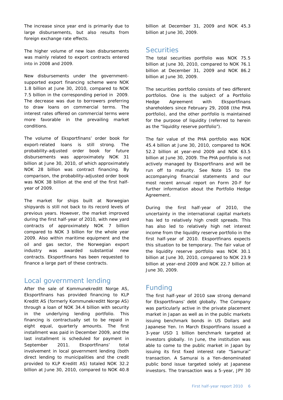The increase since year end is primarily due to large disbursements, but also results from foreign exchange rate effects.

The higher volume of new loan disbursements was mainly related to export contracts entered into in 2008 and 2009.

New disbursements under the governmentsupported export financing scheme were NOK 1.8 billion at June 30, 2010, compared to NOK 7.5 billion in the corresponding period in 2009. The decrease was due to borrowers preferring to draw loans on commercial terms. The interest rates offered on commercial terms were more favorable in the prevailing market conditions.

The volume of Eksportfinans' order book for export-related loans is still strong. The probability-adjusted order book for future disbursements was approximately NOK 31 billion at June 30, 2010, of which approximately NOK 28 billion was contract financing. By comparison, the probability-adjusted order book was NOK 38 billion at the end of the first halfyear of 2009.

The market for ships built at Norwegian shipyards is still not back to its record levels of previous years. However, the market improved during the first half-year of 2010, with new yard contracts of approximately NOK 7 billion compared to NOK 3 billion for the whole year 2009. Also within maritime equipment and the oil and gas sector, the Norwegian export industry was awarded substantial new contracts. Eksportfinans has been requested to finance a large part of these contracts.

## Local government lending

After the sale of Kommunekreditt Norge AS, Eksportfinans has provided financing to KLP Kreditt AS (formerly Kommunekreditt Norge AS) through a loan of NOK 34.4 billion with security in the underlying lending portfolio. This financing is contractually set to be repaid in eight equal, quarterly amounts. The first installment was paid in December 2009, and the last installment is scheduled for payment in September 2011. Eksportfinans' total involvement in local government lending (both direct lending to municipalities and the credit provided to KLP Kreditt AS) totaled NOK 32.2 billion at June 30, 2010, compared to NOK 40.8

billion at December 31, 2009 and NOK 45.3 billion at June 30, 2009.

## **Securities**

The total securities portfolio was NOK 75.5 billion at June 30, 2010, compared to NOK 76.1 billion at December 31, 2009 and NOK 86.2 billion at June 30, 2009.

The securities portfolio consists of two different portfolios. One is the subject of a Portfolio Hedge Agreement with Eksportfinans shareholders since February 29, 2008 (the PHA portfolio), and the other portfolio is maintained for the purpose of liquidity (referred to herein as the "liquidity reserve portfolio").

The fair value of the PHA portfolio was NOK 45.4 billion at June 30, 2010, compared to NOK 52.2 billion at year-end 2009 and NOK 63.5 billion at June 30, 2009. The PHA portfolio is not actively managed by Eksportfinans and will be run off to maturity. See Note 15 to the accompanying financial statements and our most recent annual report on Form 20-F for further information about the Portfolio Hedge Agreement.

During the first half-year of 2010, the uncertainty in the international capital markets has led to relatively high credit spreads. This has also led to relatively high net interest income from the liquidity reserve portfolio in the first half-year of 2010. Eksportfinans expects this situation to be temporary. The fair value of the liquidity reserve portfolio was NOK 30.1 billion at June 30, 2010, compared to NOK 23.9 billion at year-end 2009 and NOK 22.7 billion at June 30, 2009.

## Funding

The first half-year of 2010 saw strong demand for Eksportfinans' debt globally. The Company was particularly active in the private placement market in Japan as well as in the public markets issuing benchmark bonds in US Dollars and Japanese Yen. In March Eksportfinans issued a 3-year USD 1 billion benchmark targeted at investors globally. In June, the institution was able to come to the public market in Japan by issuing its first fixed interest rate "Samurai" transaction. A Samurai is a Yen-denominated public bond issue targeted solely at Japanese investors. The transaction was a 5-year, JPY 30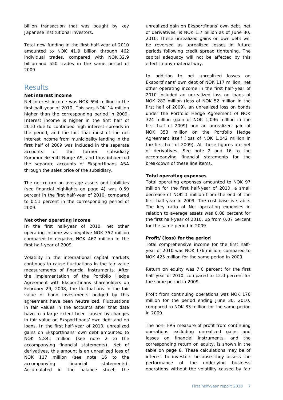billion transaction that was bought by key Japanese institutional investors.

Total new funding in the first half-year of 2010 amounted to NOK 41.9 billion through 462 individual trades, compared with NOK 32.9 billion and 550 trades in the same period of 2009.

## **Results**

#### **Net interest income**

Net interest income was NOK 694 million in the first half-year of 2010. This was NOK 14 million higher than the corresponding period in 2009. Interest income is higher in the first half of 2010 due to continued high interest spreads in the period, and the fact that most of the net interest income from municipality lending in the first half of 2009 was included in the separate accounts of the former subsidiary Kommunekreditt Norge AS, and thus influenced the separate accounts of Eksportfinans ASA through the sales price of the subsidiary.

The net return on average assets and liabilities (see financial highlights on page 4) was 0.59 percent in the first half-year of 2010, compared to 0.51 percent in the corresponding period of 2009.

#### **Net other operating income**

In the first half-year of 2010, net other operating income was negative NOK 352 million compared to negative NOK 467 million in the first half-year of 2009.

Volatility in the international capital markets continues to cause fluctuations in the fair value measurements of financial instruments. After the implementation of the Portfolio Hedge Agreement with Eksportfinans shareholders on February 29, 2008, the fluctuations in the fair value of bond investments hedged by this agreement have been neutralized. Fluctuations in fair values in the accounts after that date have to a large extent been caused by changes in fair value on Eksportfinans' own debt and on loans. In the first half-year of 2010, unrealized gains on Eksportfinans' own debt amounted to NOK 5,841 million (see note 2 to the accompanying financial statements). Net of derivatives, this amount is an unrealized loss of NOK 117 million (see note 16 to the accompanying financial statements). Accumulated in the balance sheet, the

unrealized gain on Eksportfinans' own debt, net of derivatives, is NOK 1.7 billion as of June 30, 2010. These unrealized gains on own debt will be reversed as unrealized losses in future periods following credit spread tightening. The capital adequacy will not be affected by this effect in any material way.

In addition to net unrealized losses on Eksportfinans' own debt of NOK 117 million, net other operating income in the first half-year of 2010 included an unrealized loss on loans of NOK 282 million (loss of NOK 52 million in the first half of 2009), an unrealized loss on bonds under the Portfolio Hedge Agreement of NOK 324 million (gain of NOK 1,096 million in the first half of 2009) and an unrealized gain of NOK 353 million on the Portfolio Hedge Agreement itself (loss of NOK 1,042 million in the first half of 2009). All these figures are net of derivatives. See note 2 and 16 to the accompanying financial statements for the breakdown of these line items.

#### **Total operating expenses**

Total operating expenses amounted to NOK 97 million for the first half-year of 2010, a small decrease of NOK 1 million from the end of the first half-year in 2009. The cost base is stable. The key ratio of Net operating expenses in relation to average assets was 0.08 percent for the first half-year of 2010, up from 0.07 percent for the same period in 2009.

#### **Profit/(loss) for the period**

Total comprehensive income for the first halfyear of 2010 was NOK 176 million, compared to NOK 425 million for the same period in 2009.

Return on equity was 7.0 percent for the first half-year of 2010, compared to 12.0 percent for the same period in 2009.

Profit from continuing operations was NOK 176 million for the period ending June 30, 2010, compared to NOK 83 million for the same period in 2009.

The non-IFRS measure of profit from continuing operations excluding unrealized gains and losses on financial instruments, and the corresponding return on equity, is shown in the table on page 8. These calculations may be of interest to investors because they assess the performance of the underlying business operations without the volatility caused by fair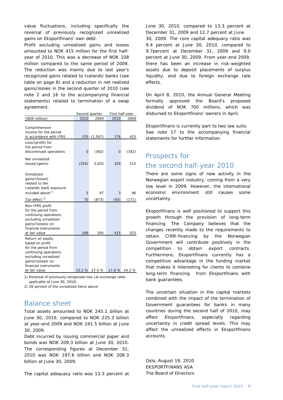value fluctuations, including specifically the reversal of previously recognized unrealized gains on Eksportfinans' own debt.

Profit excluding unrealized gains and losses amounted to NOK 415 million for the first halfyear of 2010. This was a decrease of NOK 108 million compared to the same period of 2009. The reduction was mainly due to last year's recognized gains related to Icelandic banks (see table on page 8) and a reduction in net realized gains/losses in the second quarter of 2010 (see note 2 and 16 to the accompanying financial statements) related to termination of a swap agreement.

|                                                                                                                                                                            | Second quarter |          | First half-year |        |
|----------------------------------------------------------------------------------------------------------------------------------------------------------------------------|----------------|----------|-----------------|--------|
| (NOK million)                                                                                                                                                              | 2010           | 2009     | 2010            | 2009   |
| Comprehensive                                                                                                                                                              |                |          |                 |        |
| income for the period<br>in accordance with IFRS                                                                                                                           | 370            | (1, 597) | 176             | 425    |
| Loss/(profit) for<br>the period from<br>discontinued operations                                                                                                            | $\mathbf 0$    | (342)    | 0               | (342)  |
| Net unrealized<br>losses/(gains)                                                                                                                                           | (254)          | 3,020    | 329             | 515    |
| Unrealized<br>gains/(losses)<br>related to the<br>Icelandic bank exposure                                                                                                  |                |          |                 |        |
| included above <sup>1)</sup>                                                                                                                                               | 3              | 97       | 3               | 96     |
| Tax-effect <sup>2)</sup>                                                                                                                                                   | 70             | (873)    | (93)            | (171)  |
| Non-IFRS profit<br>for the period from<br>continuing operations<br>excluding unrealized<br>gains/(losses) on<br>financial instruments<br>at fair value                     | 189            | 305      | 415             | 523    |
| Return on equity<br>based on profit<br>for the period from<br>continuing operations<br>excluding unrealized<br>gains/(losses) on<br>financial instruments<br>at fair value | 15.2 %         | 27.5 %   | 17.0 %          | 24.2 % |

1) Reversal of previously recognized loss (at exchange rates applicable at June 30, 2010)

2) 28 percent of the unrealized items above

## Balance sheet

Total assets amounted to NOK 245.1 billion at June 30, 2010, compared to NOK 225.3 billion at year-end 2009 and NOK 241.5 billion at June 30, 2009.

Debt incurred by issuing commercial paper and bonds was NOK 209.3 billion at June 30, 2010. The corresponding figures at December 31, 2010 was NOK 197.6 billion and NOK 208.3 billion at June 30, 2009.

The capital adequacy ratio was 13.3 percent at

June 30, 2010, compared to 13.3 percent at December 31, 2009 and 12.7 percent at June 30, 2009. The core capital adequacy ratio was 9.4 percent at June 30, 2010, compared to 9.7percent at December 31, 2009 and 9.0 percent at June 30, 2009. From year-end 2009, there has been an increase in risk-weighted assets due to deposit placements of surplus liquidity, and due to foreign exchange rate effects.

On April 8, 2010, the Annual General Meeting formally approved the Board's proposed dividend of NOK 700 millions, which was disbursed to Eksportfinans' owners in April.

Eksportfinans is currently part to two law suits. See note 17 to the accompanying financial statements for further information.

## Prospects for

## the second half-year 2010

There are some signs of new activity in the Norwegian export industry, coming from a very low level in 2009. However, the international economic environment still causes some uncertainty.

Eksportfinans is well positioned to support this growth through the provision of long-term financing. The Company believes that the changes recently made to the requirements to obtain CIRR-financing by the Norwegian Government will contribute positively in the competition to obtain export contracts. Furthermore, Eksportfinans currently has a competitive advantage in the funding market that makes it interesting for clients to combine long-term financing from Eksportfinans with bank guarantees.

The uncertain situation in the capital markets combined with the impact of the termination of Government guarantees for banks in many countries during the second half of 2010, may affect Eksportfinans, especially regarding uncertainty in credit spread levels. This may affect the unrealized effects in Eksportfinans accounts.

Oslo, August 19, 2010 EKSPORTFINANS ASA The Board of Directors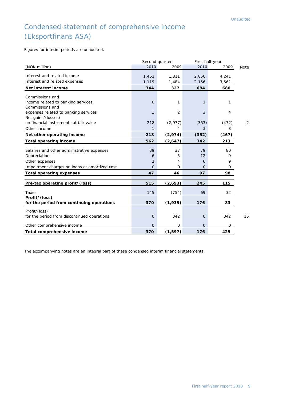# Condensed statement of comprehensive income (Eksportfinans ASA)

Figures for interim periods are unaudited.

|                                               | Second quarter |          | First half-year |       |             |
|-----------------------------------------------|----------------|----------|-----------------|-------|-------------|
| (NOK million)                                 | 2010           | 2009     | 2010            | 2009  | <b>Note</b> |
| Interest and related income                   | 1,463          | 1,811    | 2,850           | 4,241 |             |
| Interest and related expenses                 | 1,119          | 1,484    | 2,156           | 3,561 |             |
| Net interest income                           | 344            | 327      | 694             | 680   |             |
|                                               |                |          |                 |       |             |
| Commissions and                               |                |          |                 |       |             |
| income related to banking services            | $\Omega$       | 1        | 1               | 1     |             |
| Commissions and                               |                |          |                 |       |             |
| expenses related to banking services          | 1              | 2        | 3               | 4     |             |
| Net gains/(losses)                            |                |          |                 |       |             |
| on financial instruments at fair value        | 218            | (2,977)  | (353)           | (472) | 2           |
| Other income                                  | 1              | 4        | 3               | 8     |             |
| Net other operating income                    | 218            | (2,974)  | (352)           | (467) |             |
| <b>Total operating income</b>                 | 562            | (2,647)  | 342             | 213   |             |
| Salaries and other administrative expenses    | 39             | 37       | 79              | 80    |             |
| Depreciation                                  | 6              | 5        | 12              | 9     |             |
| Other expenses                                | $\overline{2}$ | 4        | 6               | 9     |             |
|                                               |                |          |                 |       |             |
| Impairment charges on loans at amortized cost | $\Omega$       | 0        | $\Omega$        | 0     |             |
| <b>Total operating expenses</b>               | 47             | 46       | 97              | 98    |             |
| Pre-tax operating profit/(loss)               | 515            | (2,693)  | 245             | 115   |             |
| Taxes                                         | 145            | (754)    | 69              | 32    |             |
| Profit/(loss)                                 |                |          |                 |       |             |
| for the period from continuing operations     | 370            | (1,939)  | 176             | 83    |             |
| Profit/(loss)                                 |                |          |                 |       |             |
| for the period from discontinued operations   | $\overline{O}$ | 342      | $\overline{O}$  | 342   | 15          |
| Other comprehensive income                    | $\overline{O}$ | 0        | $\Omega$        | 0     |             |
| Total comprehensive income                    | 370            | (1, 597) | 176             | 425   |             |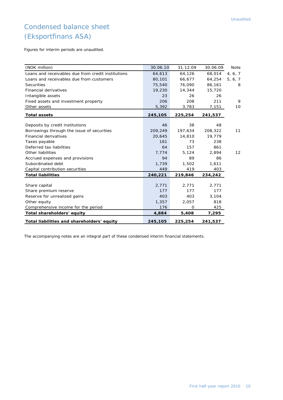# Condensed balance sheet (Eksportfinans ASA)

Figures for interim periods are unaudited.

| (NOK million)                                      | 30.06.10 | 31.12.09 | 30.06.09 | <b>Note</b> |
|----------------------------------------------------|----------|----------|----------|-------------|
| Loans and receivables due from credit institutions | 64,613   | 64,126   | 68,014   | 4, 6, 7     |
| Loans and receivables due from customers           | 80,101   | 66,677   | 64,254   | 5, 6, 7     |
| <b>Securities</b>                                  | 75,540   | 76,090   | 86,161   | 8           |
| <b>Financial derivatives</b>                       | 19,230   | 14,344   | 15,720   |             |
| Intangible assets                                  | 23       | 26       | 26       |             |
| Fixed assets and investment property               | 206      | 208      | 211      | 9           |
| Other assets                                       | 5,392    | 3,783    | 7,151    | 10          |
| <b>Total assets</b>                                | 245,105  | 225,254  | 241,537  |             |
|                                                    |          |          |          |             |
| Deposits by credit institutions                    | 46       | 38       | 48       |             |
| Borrowings through the issue of securities         | 209,249  | 197,634  | 208,322  | 11          |
| <b>Financial derivatives</b>                       | 20,645   | 14,810   | 19,779   |             |
| Taxes payable                                      | 161      | 73       | 238      |             |
| Deferred tax liabilities                           | 64       | 157      | 861      |             |
| Other liabilities                                  | 7,774    | 5,124    | 2,894    | 12          |
| Accrued expenses and provisions                    | 94       | 89       | 86       |             |
| Subordinated debt                                  | 1,739    | 1,502    | 1,611    |             |
| Capital contribution securities                    | 449      | 419      | 403      |             |
| <b>Total liabilities</b>                           | 240,221  | 219,846  | 234,242  |             |
|                                                    |          |          |          |             |
| Share capital                                      | 2,771    | 2,771    | 2,771    |             |
| Share premium reserve                              | 177      | 177      | 177      |             |
| Reserve for unrealized gains                       | 403      | 403      | 3,104    |             |
| Other equity                                       | 1,357    | 2,057    | 818      |             |
| Comprehensive income for the period                | 176      | $\Omega$ | 425      |             |
| <b>Total shareholders' equity</b>                  | 4,884    | 5,408    | 7,295    |             |
| Total liabilities and shareholders' equity         | 245,105  | 225,254  | 241,537  |             |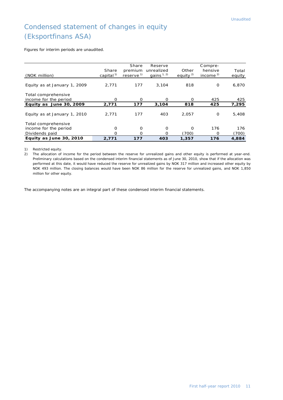# Condensed statement of changes in equity (Eksportfinans ASA)

Figures for interim periods are unaudited.

| (NOK million)                | Share<br>capital <sup>1)</sup> | Share<br>premium<br>reserve <sup>1)</sup> | Reserve<br>unrealized<br>gains $1, 2$ | Other<br>equity $2$ | Compre-<br>hensive<br>income $2$ | Total<br>equity |
|------------------------------|--------------------------------|-------------------------------------------|---------------------------------------|---------------------|----------------------------------|-----------------|
| Equity as at January 1, 2009 | 2.771                          | 177                                       | 3.104                                 | 818                 | 0                                | 6,870           |
| Total comprehensive          |                                |                                           |                                       |                     |                                  |                 |
| income for the period        | O                              | $\Omega$                                  | O                                     | O                   | 425                              | 425             |
| Equity as June 30, 2009      | 2,771                          | 177                                       | 3,104                                 | 818                 | 425                              | 7,295           |
| Equity as at January 1, 2010 | 2,771                          | 177                                       | 403                                   | 2,057               | $\Omega$                         | 5,408           |
| Total comprehensive          |                                |                                           |                                       |                     |                                  |                 |
| income for the period        | O                              | $\Omega$                                  | $\Omega$                              | O                   | 176                              | 176             |
| Dividends paid               | O                              | Ο                                         | O                                     | (700)               | $\Omega$                         | (700)           |
| Equity as June 30, 2010      | 2,771                          | 177                                       | 403                                   | 1,357               | 176                              | 4,884           |

1) Restricted equity.

2) The allocation of income for the period between the reserve for unrealized gains and other equity is performed at year-end. Preliminary calculations based on the condensed interim financial statements as of June 30, 2010, show that if the allocation was performed at this date, it would have reduced the reserve for unrealized gains by NOK 317 million and increased other equity by NOK 493 million. The closing balances would have been NOK 86 million for the reserve for unrealized gains, and NOK 1,850 million for other equity.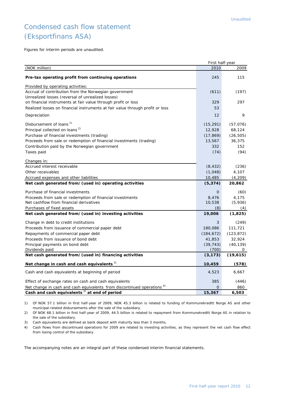# Condensed cash flow statement (Eksportfinans ASA)

Figures for interim periods are unaudited.

|                                                                                                            | First half-year |            |
|------------------------------------------------------------------------------------------------------------|-----------------|------------|
| (NOK million)                                                                                              | 2010            | 2009       |
| Pre-tax operating profit from continuing operations                                                        | 245             | 115        |
| Provided by operating activities:                                                                          |                 |            |
| Accrual of contribution from the Norwegian government<br>Unrealized losses (reversal of unrealized losses) | (611)           | (197)      |
| on financial instruments at fair value through profit or loss                                              | 329             | 297        |
| Realized losses on financial instruments at fair value through profit or loss                              | 53              |            |
| Depreciation                                                                                               | 12              | 9          |
| Disbursement of loans <sup>1)</sup>                                                                        | (15, 291)       | (57,076)   |
| Principal collected on loans <sup>2)</sup>                                                                 | 12,928          | 68,124     |
| Purchase of financial investments (trading)                                                                | (17, 869)       | (26, 505)  |
| Proceeds from sale or redemption of financial investments (trading)                                        | 13,567          | 36,375     |
| Contribution paid by the Norwegian government                                                              | 332             | 152        |
| Taxes paid                                                                                                 | (74)            | (94)       |
| Changes in:                                                                                                |                 |            |
| Accrued interest receivable                                                                                | (8, 432)        | (236)      |
| Other receivables                                                                                          | (1,048)         | 4,107      |
| Accrued expenses and other liabilities                                                                     | 10,485          | (4,209)    |
| Net cash generated from/(used in) operating activities                                                     | (5, 374)        | 20,862     |
| Purchase of financial investments                                                                          | $\mathbf 0$     | (60)       |
| Proceeds from sale or redemption of financial investments                                                  | 8,476           | 4,175      |
| Net cashflow from financial derivatives                                                                    | 10,538          | (5,936)    |
| Purchases of fixed assets                                                                                  | (8)             | (4)        |
| Net cash generated from/(used in) investing activities                                                     | 19,006          | (1,825)    |
| Change in debt to credit institutions                                                                      | 3               | (249)      |
| Proceeds from issuance of commercial paper debt                                                            | 180,086         | 111,721    |
| Repayments of commercial paper debt                                                                        | (184, 672)      | (123, 872) |
| Proceeds from issuance of bond debt                                                                        | 41,853          | 32,924     |
| Principal payments on bond debt                                                                            | (39, 743)       | (40, 139)  |
| Dividends paid                                                                                             | (700)           | 0          |
| Net cash generated from/(used in) financing activities                                                     | (3, 173)        | (19,615)   |
| Net change in cash and cash equivalents <sup>3)</sup>                                                      | 10,459          | (578)      |
| Cash and cash equivalents at beginning of period                                                           | 4,523           | 6,667      |
| Effect of exchange rates on cash and cash equivalents                                                      | 385             | (446)      |
| Net change in cash and cash equivalents from discontinued operations <sup>4)</sup>                         | 0               | 860        |
| Cash and cash equivalents $3)$ at end of period                                                            | 15,367          | 6,503      |

1) Of NOK 57.1 billion in first half-year of 2009, NOK 45.3 billion is related to funding of Kommunekreditt Norge AS and other municipal-related disbursements after the sale of the subsidiary.

2) Of NOK 68.1 billion in first half-year of 2009, 44.5 billion is related to repayment from Kommunekreditt Norge AS in relation to the sale of the subsidiary.

3) Cash equivalents are defined as bank deposit with maturity less than 3 months.

4) Cash flows from discontinued operations for 2009 are related to investing activities, as they represent the net cash flow effect from losing control of the subsidiary.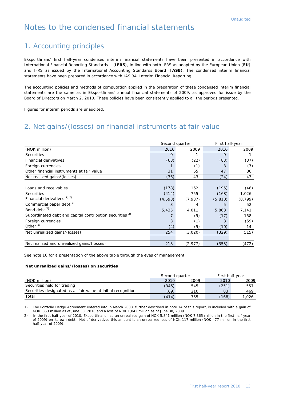# Notes to the condensed financial statements

# 1. Accounting principles

Eksportfinans' first half-year condensed interim financial statements have been presented in accordance with International Financial Reporting Standards – (**IFRS**), in line with both IFRS as adopted by the European Union (**EU**) and IFRS as issued by the International Accounting Standards Board (**IASB**). The condensed interim financial statements have been prepared in accordance with IAS 34, Interim Financial Reporting.

The accounting policies and methods of computation applied in the preparation of these condensed interim financial statements are the same as in Eksportfinans' annual financial statements of 2009, as approved for issue by the Board of Directors on March 2, 2010. These policies have been consistently applied to all the periods presented.

Figures for interim periods are unaudited.

# 2. Net gains/(losses) on financial instruments at fair value

|                                                                     |          | Second quarter | First half-year |          |  |
|---------------------------------------------------------------------|----------|----------------|-----------------|----------|--|
| (NOK million)                                                       | 2010     | 2009           | 2010            | 2009     |  |
| <b>Securities</b>                                                   | $\Omega$ | 1              | 9               |          |  |
| Financial derivatives                                               | (68)     | (22)           | (83)            | (37)     |  |
| Foreign currencies                                                  |          | (1)            | 3               | (7)      |  |
| Other financial instruments at fair value                           | 31       | 65             | 47              | 86       |  |
| Net realized gains/(losses)                                         | (36)     | 43             | (24)            | 43       |  |
|                                                                     |          |                |                 |          |  |
| Loans and receivables                                               | (178)    | 162            | (195)           | (48)     |  |
| <b>Securities</b>                                                   | (414)    | 755            | (168)           | 1,026    |  |
| Financial derivatives <sup>1) 2)</sup>                              | (4,598)  | (7,937)        | (5, 810)        | (8, 799) |  |
| Commercial paper debt <sup>2)</sup>                                 | 3        | 4              | 5               | 52       |  |
| Bond debt $^{2)}$                                                   | 5,435    | 4,011          | 5,863           | 7,141    |  |
| Subordinated debt and capital contribution securities <sup>2)</sup> |          | (9)            | (17)            | 158      |  |
| Foreign currencies                                                  | 3        | (1)            | 3               | (59)     |  |
| Other $^{2)}$                                                       | (4)      | (5)            | (10)            | 14       |  |
| Net unrealized gains/(losses)                                       | 254      | (3,020)        | (329)           | (515)    |  |
|                                                                     |          |                |                 |          |  |
| Net realized and unrealized gains/(losses)                          | 218      | (2, 977)       | (353)           | (472)    |  |

See note 16 for a presentation of the above table through the eyes of management.

#### **Net unrealized gains/(losses) on securities**

|                                                               | Second quarter |      | First half-vear |      |
|---------------------------------------------------------------|----------------|------|-----------------|------|
| (NOK million)                                                 | 2010           | 2009 | 2010            | 2009 |
| Securities held for trading                                   | (345)          | 545  | (251)           | 557  |
| Securities designated as at fair value at initial recognition | (69)           | 210  | 83              | 469  |
| Total                                                         | (414)          | 755  | (168)           | ,026 |

1) The Portfolio Hedge Agreement entered into in March 2008, further described in note 14 of this report, is included with a gain of NOK 353 million as of June 30, 2010 and a loss of NOK 1,042 million as of June 30, 2009.

2) In the first half-year of 2010, Eksportfinans had an unrealized gain of NOK 5,841 million (NOK 7,365 million in the first half-year of 2009) on its own debt. Net of derivatives this amount is an unrealized loss of NOK 117 million (NOK 477 million in the first half-year of 2009).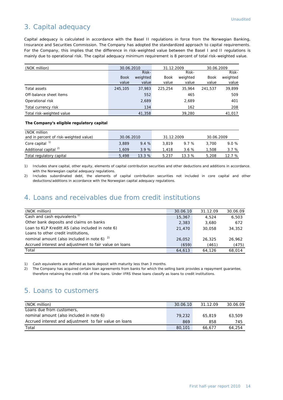# 3. Capital adequacy

Capital adequacy is calculated in accordance with the Basel II regulations in force from the Norwegian Banking, Insurance and Securities Commission. The Company has adopted the standardized approach to capital requirements. For the Company, this implies that the difference in risk-weighted value between the Basel I and II regulations is mainly due to operational risk. The capital adequacy minimum requirement is 8 percent of total risk-weighted value.

| (NOK million)             | 30.06.2010  |          | 31.12.2009  |          | 30.06.2009  |          |
|---------------------------|-------------|----------|-------------|----------|-------------|----------|
|                           |             | Risk-    |             | Risk-    |             | Risk-    |
|                           | <b>Book</b> | weighted | <b>Book</b> | weighted | <b>Book</b> | weighted |
|                           | value       | value    | value       | value    | value       | value    |
| Total assets              | 245,105     | 37,983   | 225,254     | 35,964   | 241.537     | 39,899   |
| Off-balance sheet items   |             | 552      |             | 465      |             | 509      |
| Operational risk          |             | 2,689    |             | 2,689    |             | 401      |
| Total currency risk       |             | 134      |             | 162      |             | 208      |
| Total risk-weighted value |             | 41,358   |             | 39,280   |             | 41.017   |

#### **The Company's eligible regulatory capital**

| (NOK million                           |            |       |            |       |            |       |
|----------------------------------------|------------|-------|------------|-------|------------|-------|
| and in percent of risk-weighted value) | 30.06.2010 |       | 31.12.2009 |       | 30.06.2009 |       |
| Core capital <sup>1)</sup>             | 3,889      | 9.4%  | 3.819      | 9.7%  | 3.700      | 9.0%  |
| Additional capital <sup>2)</sup>       | 1,609      | 3.9%  | 1.418      | 3.6%  | .508       | 3.7%  |
| Total regulatory capital               | 5,498      | 13.3% | 5,237      | 13.3% | 5,208      | 12.7% |

1) Includes share capital, other equity, elements of capital contribution securities and other deductions and additions in accordance. with the Norwegian capital adequacy regulations.

2) Includes subordinated debt, the elements of capital contribution securities not included in core capital and other deductions/additions in accordance with the Norwegian capital adequacy regulations.

# 4. Loans and receivables due from credit institutions

| (NOK million)                                          | 30.06.10 | 31.12.09 | 30.06.09 |
|--------------------------------------------------------|----------|----------|----------|
| Cash and cash equivalents <sup>1)</sup>                | 15,367   | 4.524    | 6,503    |
| Other bank deposits and claims on banks                | 2,383    | 3.680    | 672      |
| Loan to KLP Kreditt AS (also included in note 6)       | 21,470   | 30,058   | 34,352   |
| Loans to other credit institutions,                    |          |          |          |
| nominal amount (also included in note 6) $2$           | 26,052   | 26,325   | 26.962   |
| Accrued interest and adjustment to fair value on loans | (659)    | (461)    | (475)    |
| Total                                                  | 64,613   | 64.126   | 68,014   |

1) Cash equivalents are defined as bank deposit with maturity less than 3 months.

2) The Company has acquired certain loan agreements from banks for which the selling bank provides a repayment guarantee, therefore retaining the credit risk of the loans. Under IFRS these loans classify as loans to credit institutions.

# 5. Loans to customers

| (NOK million)                                          | 30.06.10 | 31.12.09 | 30.06.09 |
|--------------------------------------------------------|----------|----------|----------|
| Loans due from customers,                              |          |          |          |
| nominal amount (also included in note 6)               | 79,232   | 65,819   | 63,509   |
| Accrued interest and adjustment to fair value on loans | 869      | 858      | 745      |
| Total                                                  | 80,101   | 66.677   | 64,254   |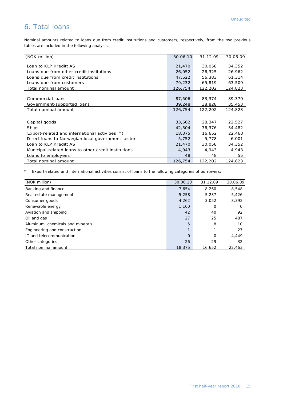# 6. Total loans

Nominal amounts related to loans due from credit institutions and customers, respectively, from the two previous tables are included in the following analysis.

| (NOK million)                                        | 30.06.10 | 31.12.09 | 30.06.09 |
|------------------------------------------------------|----------|----------|----------|
| Loan to KLP Kreditt AS                               | 21,470   | 30,058   | 34,352   |
| Loans due from other credit institutions             | 26,052   | 26,325   | 26,962   |
| Loans due from credit institutions                   | 47,522   | 56,383   | 61,314   |
| Loans due from customers                             | 79,232   | 65,819   | 63,509   |
| Total nominal amount                                 | 126,754  | 122,202  | 124,823  |
|                                                      |          |          |          |
| Commercial loans                                     | 87,506   | 83,374   | 89,370   |
| Government-supported loans                           | 39,248   | 38,828   | 35,453   |
| Total nominal amount                                 | 126,754  | 122,202  | 124,823  |
|                                                      |          |          |          |
| Capital goods                                        | 33,662   | 28,347   | 22,527   |
| Ships                                                | 42,504   | 36,376   | 34,482   |
| Export-related and international activities *)       | 18,375   | 16,652   | 22,463   |
| Direct loans to Norwegian local government sector    | 5,752    | 5,778    | 6,001    |
| Loan to KLP Kreditt AS                               | 21,470   | 30,058   | 34,352   |
| Municipal-related loans to other credit institutions | 4,943    | 4,943    | 4,943    |
| Loans to employees                                   | 48       | 48       | 55       |
| Total nominal amount                                 | 126,754  | 122,202  | 124,823  |

\* Export-related and international activities consist of loans to the following categories of borrowers:

| (NOK million)                    | 30.06.10 | 31.12.09 | 30.06.09 |
|----------------------------------|----------|----------|----------|
| Banking and finance              | 7,654    | 8,260    | 8,548    |
| Real estate management           | 5,258    | 5.237    | 5,426    |
| Consumer goods                   | 4,262    | 3,052    | 3,392    |
| Renewable energy                 | 1,100    | 0        | 0        |
| Aviation and shipping            | 42       | 40       | 92       |
| Oil and gas                      | 27       | 25       | 487      |
| Aluminum, chemicals and minerals | 5        | 8        | 10       |
| Engineering and construction     |          |          | 27       |
| IT and telecommunication         | $\Omega$ | 0        | 4,449    |
| Other categories                 | 26       | 29       | 32       |
| Total nominal amount             | 18,375   | 16,652   | 22,463   |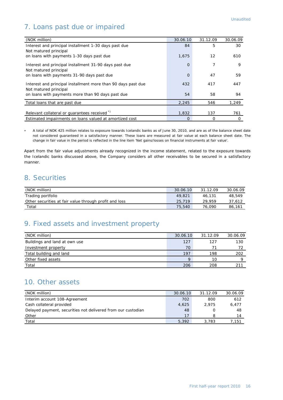# 7. Loans past due or impaired

| (NOK million)                                                                          | 30.06.10 | 31.12.09 | 30.06.09 |
|----------------------------------------------------------------------------------------|----------|----------|----------|
| Interest and principal installment 1-30 days past due                                  | 84       | 5        | 30       |
| Not matured principal                                                                  |          |          |          |
| on loans with payments 1-30 days past due                                              | 1,675    | 12       | 610      |
| Interest and principal installment 31-90 days past due<br>Not matured principal        | $\Omega$ | 7        | 9        |
| on loans with payments 31-90 days past due                                             | $\Omega$ | 47       | 59       |
| Interest and principal installment more than 90 days past due<br>Not matured principal | 432      | 417      | 447      |
| on loans with payments more than 90 days past due                                      | 54       | 58       | 94       |
| Total loans that are past due                                                          | 2,245    | 546      | 1,249    |
|                                                                                        |          |          |          |
| Relevant collateral or quarantees received <sup>*)</sup>                               | 1,832    | 137      | 761      |
| Estimated impairments on loans valued at amortized cost                                | O        | $\Omega$ | 0        |

 A total of NOK 425 million relates to exposure towards Icelandic banks as of June 30, 2010, and are as of the balance sheet date not considered guaranteed in a satisfactory manner. These loans are measured at fair value at each balance sheet date. The change in fair value in the period is reflected in the line item 'Net gains/losses on financial instruments at fair value'.

Apart from the fair value adjustments already recognized in the income statement, related to the exposure towards the Icelandic banks discussed above, the Company considers all other receivables to be secured in a satisfactory manner.

# 8. Securities

| (NOK million)                                          | 30.06.10 | 31.12.09 | 30.06.09 |
|--------------------------------------------------------|----------|----------|----------|
| Trading portfolio                                      | 49.821   | 46.131   | 48,549   |
| Other securities at fair value through profit and loss | 25,719   | 29.959   | 37.612   |
| Total                                                  | 75,540   | 76,090   | 86,161   |

# 9. Fixed assets and investment property

| (NOK million)                 | 30.06.10 | 31.12.09 | 30.06.09 |
|-------------------------------|----------|----------|----------|
| Buildings and land at own use | 127      | 127      | 130      |
| Investment property           | 70       | 71       | 72       |
| Total building and land       | 197      | 198      | 202      |
| Other fixed assets            | $\Omega$ | 10       | Ω        |
| Total                         | 206      | 208      |          |
|                               |          |          |          |

# 10. Other assets

| (NOK million)                                                | 30.06.10 | 31.12.09 | 30.06.09 |
|--------------------------------------------------------------|----------|----------|----------|
| Interim account 108-Agreement                                | 702      | 800      | 612      |
| Cash collateral provided                                     | 4,625    | 2.975    | 6,477    |
| Delayed payment, securities not delivered from our custodian | 48       |          | 48       |
| Other                                                        | 17       | я        | 14       |
| Total                                                        | 5,392    | 3.783    | 7.151    |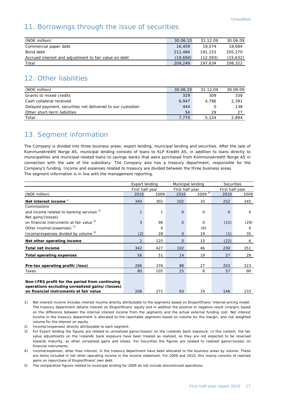# 11. Borrowings through the issue of securities

| (NOK million)                                         | 30.06.10 | 31.12.09 | 30.06.09 |
|-------------------------------------------------------|----------|----------|----------|
| Commercial paper debt                                 | 16,459   | 19.074   | 18,684   |
| Bond debt                                             | 212,484  | 191,153  | 205,270  |
| Accrued interest and adjustment to fair value on debt | (19.694) | (12.593) | (15,632) |
| Total                                                 | 209,249  | 197.634  | 208,322  |

# 12. Other liabilities

| (NOK million)                                              | 30.06.10 | 31.12.09 | 30.06.09 |
|------------------------------------------------------------|----------|----------|----------|
| Grants to mixed credits                                    | 329      | 309      | 338      |
| Cash collateral received                                   | 6,947    | 4.786    | 2.391    |
| Delayed payment, securities not delivered to our custodian | 444      |          | 138      |
| Other short-term liabilities                               | 54       | 29       | 27       |
| Total                                                      | 7.774    | 5.124    | 2,894    |

# 13. Segment information

The Company is divided into three business areas, export lending, municipal lending and securities. After the sale of Kommunekreditt Norge AS, municipal lending consists of loans to KLP Kreditt AS, in addition to loans directly to municipalities and municipal-related loans to savings banks that were purchased from Kommunekreditt Norge AS in connection with the sale of the subsidiary. The Company also has a treasury department, responsible for the Company's funding. Income and expenses related to treasury are divided between the three business areas. The segment information is in line with the management reporting.

|                                                      |                 | <b>Export lending</b> |          | Municipal lending | <b>Securities</b> |          |
|------------------------------------------------------|-----------------|-----------------------|----------|-------------------|-------------------|----------|
|                                                      | First half-year |                       |          | First half-year   | First half-year   |          |
| (NOK million)                                        | 2010            | 2009                  | 2010     | $2009^{5}$        | 2010              | 2009     |
| Net interest income <sup>1)</sup>                    | 340             | 302                   | 102      | 33                | 252               | 345      |
| Commissions                                          |                 |                       |          |                   |                   |          |
| and income related to banking services <sup>2)</sup> | $\mathbf{1}$    | 1                     | $\Omega$ | $\mathbf 0$       | $\Omega$          | $\Omega$ |
| Net gains/(losses)                                   |                 |                       |          |                   |                   |          |
| on financial instruments at fair value 3)            | 3               | 96                    | $\Omega$ | $\Omega$          | (21)              | (29)     |
| Other income/(expenses) <sup>2)</sup>                |                 | $\Omega$              |          | (6)               |                   | $\Omega$ |
| Income/expenses divided by volume 4)                 | (2)             | 28                    | $\Omega$ | 19                | (1)               | 35       |
| Net other operating income                           | 2               | 125                   | $\Omega$ | 13                | (22)              | 6        |
| <b>Total net income</b>                              | 342             | 427                   | 102      | 46                | 230               | 351      |
| <b>Total operating expenses</b>                      | 56              | 51                    | 14       | 19                | 27                | 28       |
|                                                      |                 |                       |          |                   |                   |          |
| Pre-tax operating profit/(loss)                      | 286             | 376                   | 88       | 27                | 203               | 323      |
| Taxes                                                | 80              | 105                   | 25       | 8                 | 57                | 90       |
|                                                      |                 |                       |          |                   |                   |          |
| Non-IFRS profit for the period from continuing       |                 |                       |          |                   |                   |          |
| operations excluding unrealized gains/(losses)       |                 |                       |          |                   |                   |          |
| on financial instruments at fair value               | 206             | 271                   | 63       | 19                | 146               | 233      |

1) Net interest income includes interest income directly attributable to the segments based on Eksportfinans' internal pricing model. The treasury department obtains interest on Eksportfinans' equity and in addition the positive or negative result (margin) based on the difference between the internal interest income from the segments and the actual external funding cost. Net interest income in the treasury department is allocated to the reportable segments based on volume for the margin, and risk weighted volume for the interest on equity.

2) Income/(expenses) directly attributable to each segment.

- 3) For Export lending the figures are related to unrealized gains/(losses) on the Icelandic bank exposure. In this context, the fair value adjustments on the Icelandic bank exposure have been treated as realized, as they are not expected to be reversed towards maturity, as other unrealized gains and losses. For Securities the figures are related to realized gains/(losses) on financial instruments.
- 4) Income/expenses, other than interest, in the treasury department have been allocated to the business areas by volume. These are items included in net other operating income in the income statement. For 2009 and 2010, this mainly consists of realized gains on repurchase of Eksportfinans' own debt.

5) The comparative figures related to municipal lending for 2009 do not include discontinued operations.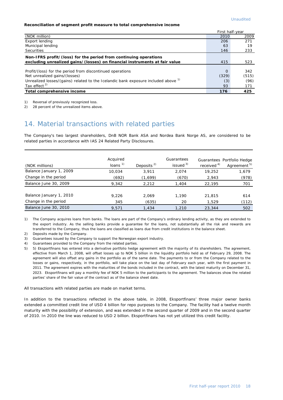#### **Reconciliation of segment profit measure to total comprehensive income**

|                                                                                               | First half-year   |              |
|-----------------------------------------------------------------------------------------------|-------------------|--------------|
| (NOK million)                                                                                 | 2010              | 2009         |
| Export lending                                                                                | 206               | 271          |
| Municipal lending                                                                             | 63                | 19           |
| <b>Securities</b>                                                                             | 146               | 233          |
| Non-IFRS profit/(loss) for the period from continuing operations                              |                   |              |
| excluding unrealized gains/(losses) on financial instruments at fair value                    | 415               | 523          |
| Profit/(loss) for the period from discontinued operations<br>Net unrealized gains/(losses)    | $\Omega$<br>(329) | 342<br>(515) |
| Unrealized losses/(gains) related to the Icelandic bank exposure included above <sup>1)</sup> | (3)               | (96)         |
| Tax effect <sup>2)</sup>                                                                      | 93                | 171          |
| Total comprehensive income                                                                    | 176               | 425          |

1) Reversal of previously recognized loss.

2) 28 percent of the unrealized items above.

# 14. Material transactions with related parties

The Company's two largest shareholders, DnB NOR Bank ASA and Nordea Bank Norge AS, are considered to be related parties in accordance with IAS 24 Related Party Disclosures.

| (NOK millions)          | Acquired<br>loans <sup>1</sup> | Deposits <sup>2)</sup> | Guarantees<br>issued $3)$ | received <sup>4)</sup> | Guarantees Portfolio Hedge<br>Agreement <sup>5)</sup> |
|-------------------------|--------------------------------|------------------------|---------------------------|------------------------|-------------------------------------------------------|
| Balance January 1, 2009 | 10.034                         | 3,911                  | 2.074                     | 19,252                 | 1,679                                                 |
| Change in the period    | (692)                          | (1,699)                | (670)                     | 2,943                  | (978)                                                 |
| Balance June 30, 2009   | 9,342                          | 2,212                  | 1.404                     | 22,195                 | 701                                                   |
| Balance January 1, 2010 | 9.226                          | 2.069                  | 1.190                     | 21,815                 | 614                                                   |
| Change in the period    | 345                            | (635)                  | 20                        | 1.529                  | (112)                                                 |
| Balance June 30, 2010   | 9,571                          | 1,434                  | 1,210                     | 23,344                 | 502                                                   |

1) The Company acquires loans from banks. The loans are part of the Company's ordinary lending activity, as they are extended to the export industry. As the selling banks provide a guarantee for the loans, not substantially all the risk and rewards are transferred to the Company, thus the loans are classified as loans due from credit institutions in the balance sheet.

2) Deposits made by the Company.

3) Guarantees issued by the Company to support the Norwegian export industry.

4) Guarantees provided to the Company from the related parties.

5) 5) Eksportfinans has entered into a derivative portfolio hedge agreement with the majority of its shareholders. The agreement, effective from March 1, 2008, will offset losses up to NOK 5 billion in the liquidity portfolio held as of February 29, 2008. The agreement will also offset any gains in the portfolio as of the same date. The payments to or from the Company related to the losses or gains, respectively, in the portfolio, will take place on the last day of February each year, with the first payment in 2011. The agreement expires with the maturities of the bonds included in the contract, with the latest maturity on December 31, 2023. Eksportfinans will pay a monthly fee of NOK 5 million to the participants to the agreement. The balances show the related parties' share of the fair value of the contract as of the balance sheet date.

All transactions with related parties are made on market terms.

In addition to the transactions reflected in the above table, in 2008, Eksportfinans' three major owner banks extended a committed credit line of USD 4 billion for repo purposes to the Company. The facility had a twelve month maturity with the possibility of extension, and was extended in the second quarter of 2009 and in the second quarter of 2010. In 2010 the line was reduced to USD 2 billion. Eksportfinans has not yet utilized this credit facility.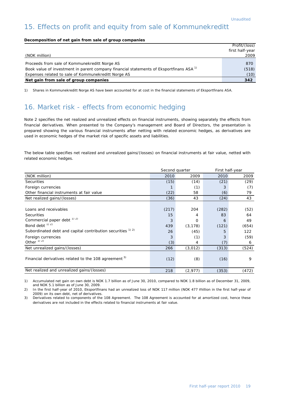# 15. Effects on profit and equity from sale of Kommunekreditt

#### **Decomposition of net gain from sale of group companies**

|                                                                                                    | Profit/(loss)   |
|----------------------------------------------------------------------------------------------------|-----------------|
|                                                                                                    | first half-year |
| (NOK million)                                                                                      | 2009            |
|                                                                                                    |                 |
| Proceeds from sale of Kommunekreditt Norge AS                                                      | 870             |
| Book value of investment in parent company financial statements of Eksportfinans ASA <sup>1)</sup> | (518)           |
| Expenses related to sale of Kommunekreditt Norge AS                                                | (10)            |
| Net gain from sale of group companies                                                              | 342             |

1) Shares in Kommunekreditt Norge AS have been accounted for at cost in the financial statements of Eksportfinans ASA.

# 16. Market risk - effects from economic hedging

Note 2 specifies the net realized and unrealized effects on financial instruments, showing separately the effects from financial derivatives. When presented to the Company's management and Board of Directors, the presentation is prepared showing the various financial instruments after netting with related economic hedges, as derivatives are used in economic hedges of the market risk of specific assets and liabilities.

The below table specifies net realized and unrealized gains/(losses) on financial instruments at fair value, netted with related economic hedges.

|                                                                        | Second quarter |          | First half-year |       |
|------------------------------------------------------------------------|----------------|----------|-----------------|-------|
| (NOK million)                                                          | 2010           | 2009     | 2010            | 2009  |
| <b>Securities</b>                                                      | (15)           | (14)     | (21)            | (29)  |
| Foreign currencies                                                     |                | (1)      | 3               | (7)   |
| Other financial instruments at fair value                              | (22)           | 58       | (6)             | 79    |
| Net realized gains/(losses)                                            | (36)           | 43       | (24)            | 43    |
|                                                                        |                |          |                 |       |
| Loans and receivables                                                  | (217)          | 204      | (282)           | (52)  |
| <b>Securities</b>                                                      | 15             | 4        | 83              | 64    |
| Commercial paper debt <sup>1) 2)</sup>                                 | 3              | $\Omega$ | 6               | 49    |
| Bond debt <sup>1) 2)</sup>                                             | 439            | (3, 178) | (121)           | (654) |
| Subordinated debt and capital contribution securities <sup>1) 2)</sup> | 26             | (45)     | 5               | 122   |
| Foreign currencies                                                     | 3              | (1)      | 3               | (59)  |
| Other $(1)$ 2)                                                         | (3)            | 4        | (7)             | 6     |
| Net unrealized gains/(losses)                                          | 266            | (3,012)  | (313)           | (524) |
| Financial derivatives related to the 108 agreement <sup>3)</sup>       | (12)           | (8)      | (16)            | 9     |
| Net realized and unrealized gains/(losses)                             | 218            | (2, 977) | (353)           | (472) |

1) Accumulated net gain on own debt is NOK 1.7 billion as of June 30, 2010, compared to NOK 1.8 billion as of December 31, 2009, and NOK 5.1 billion as of June 30, 2009.

2) In the first half-year of 2010, Eksportfinans had an unrealized loss of NOK 117 million (NOK 477 million in the first half-year of 2009) on its own debt, net of derivatives.

3) Derivatives related to components of the 108 Agreement. The 108 Agreement is accounted for at amortized cost, hence these derivatives are not included in the effects related to financial instruments at fair value.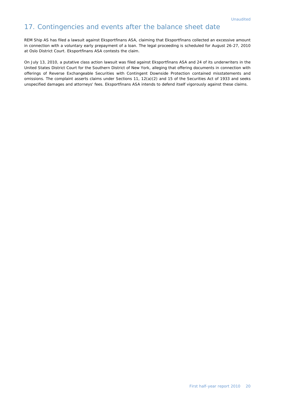# 17. Contingencies and events after the balance sheet date

REM Ship AS has filed a lawsuit against Eksportfinans ASA, claiming that Eksportfinans collected an excessive amount in connection with a voluntary early prepayment of a loan. The legal proceeding is scheduled for August 26-27, 2010 at Oslo District Court. Eksportfinans ASA contests the claim.

On July 13, 2010, a putative class action lawsuit was filed against Eksportfinans ASA and 24 of its underwriters in the United States District Court for the Southern District of New York, alleging that offering documents in connection with offerings of Reverse Exchangeable Securities with Contingent Downside Protection contained misstatements and omissions. The complaint asserts claims under Sections 11, 12(a)(2) and 15 of the Securities Act of 1933 and seeks unspecified damages and attorneys' fees. Eksportfinans ASA intends to defend itself vigorously against these claims.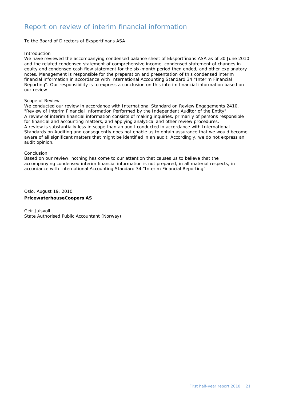# Report on review of interim financial information

#### To the Board of Directors of Eksportfinans ASA

#### *Introduction*

We have reviewed the accompanying condensed balance sheet of Eksportfinans ASA as of 30 June 2010 and the related condensed statement of comprehensive income, condensed statement of changes in equity and condensed cash flow statement for the six-month period then ended, and other explanatory notes. Management is responsible for the preparation and presentation of this condensed interim financial information in accordance with International Accounting Standard 34 "Interim Financial Reporting". Our responsibility is to express a conclusion on this interim financial information based on our review.

#### *Scope of Review*

We conducted our review in accordance with International Standard on Review Engagements 2410, "Review of Interim Financial Information Performed by the Independent Auditor of the Entity". A review of interim financial information consists of making inquiries, primarily of persons responsible for financial and accounting matters, and applying analytical and other review procedures. A review is substantially less in scope than an audit conducted in accordance with International Standards on Auditing and consequently does not enable us to obtain assurance that we would become aware of all significant matters that might be identified in an audit. Accordingly, we do not express an audit opinion.

#### *Conclusion*

Based on our review, nothing has come to our attention that causes us to believe that the accompanying condensed interim financial information is not prepared, in all material respects, in accordance with International Accounting Standard 34 "Interim Financial Reporting".

Oslo, August 19, 2010 **PricewaterhouseCoopers AS** 

Geir Julsvoll State Authorised Public Accountant (Norway)